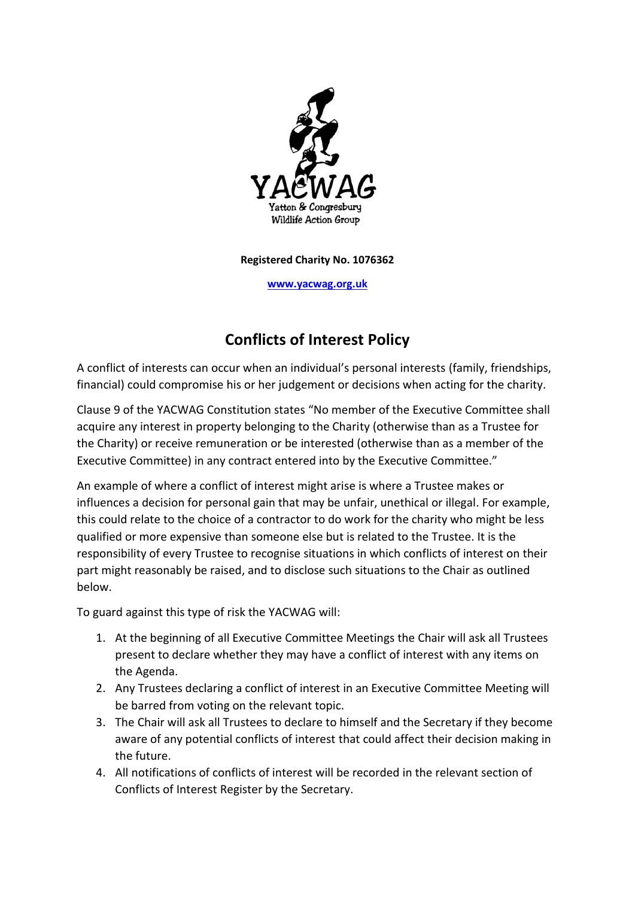

**Registered Charity No. 1076362**

**[www.yacwag.org.uk](http://www.yacwag.org.uk/)**

# **Conflicts of Interest Policy**

A conflict of interests can occur when an individual's personal interests (family, friendships, financial) could compromise his or her judgement or decisions when acting for the charity.

Clause 9 of the YACWAG Constitution states "No member of the Executive Committee shall acquire any interest in property belonging to the Charity (otherwise than as a Trustee for the Charity) or receive remuneration or be interested (otherwise than as a member of the Executive Committee) in any contract entered into by the Executive Committee."

An example of where a conflict of interest might arise is where a Trustee makes or influences a decision for personal gain that may be unfair, unethical or illegal. For example, this could relate to the choice of a contractor to do work for the charity who might be less qualified or more expensive than someone else but is related to the Trustee. It is the responsibility of every Trustee to recognise situations in which conflicts of interest on their part might reasonably be raised, and to disclose such situations to the Chair as outlined below.

To guard against this type of risk the YACWAG will:

- 1. At the beginning of all Executive Committee Meetings the Chair will ask all Trustees present to declare whether they may have a conflict of interest with any items on the Agenda.
- 2. Any Trustees declaring a conflict of interest in an Executive Committee Meeting will be barred from voting on the relevant topic.
- 3. The Chair will ask all Trustees to declare to himself and the Secretary if they become aware of any potential conflicts of interest that could affect their decision making in the future.
- 4. All notifications of conflicts of interest will be recorded in the relevant section of Conflicts of Interest Register by the Secretary.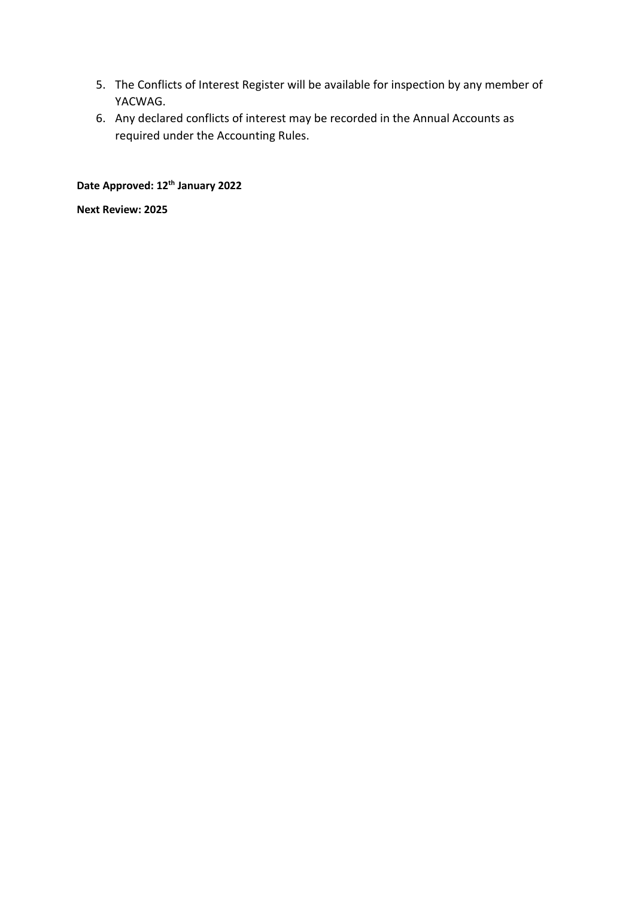- 5. The Conflicts of Interest Register will be available for inspection by any member of YACWAG.
- 6. Any declared conflicts of interest may be recorded in the Annual Accounts as required under the Accounting Rules.

## **Date Approved: 12th January 2022**

**Next Review: 2025**